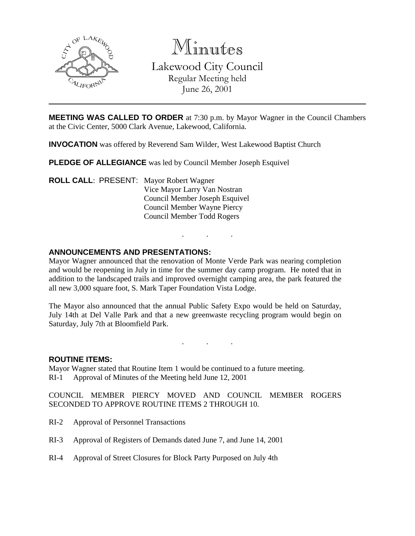

Minutes

Lakewood City Council Regular Meeting held June 26, 2001

**MEETING WAS CALLED TO ORDER** at 7:30 p.m. by Mayor Wagner in the Council Chambers at the Civic Center, 5000 Clark Avenue, Lakewood, California.

**INVOCATION** was offered by Reverend Sam Wilder, West Lakewood Baptist Church

**PLEDGE OF ALLEGIANCE** was led by Council Member Joseph Esquivel

**ROLL CALL**: PRESENT: Mayor Robert Wagner Vice Mayor Larry Van Nostran Council Member Joseph Esquivel Council Member Wayne Piercy Council Member Todd Rogers

# **ANNOUNCEMENTS AND PRESENTATIONS:**

Mayor Wagner announced that the renovation of Monte Verde Park was nearing completion and would be reopening in July in time for the summer day camp program. He noted that in addition to the landscaped trails and improved overnight camping area, the park featured the all new 3,000 square foot, S. Mark Taper Foundation Vista Lodge.

. . .

The Mayor also announced that the annual Public Safety Expo would be held on Saturday, July 14th at Del Valle Park and that a new greenwaste recycling program would begin on Saturday, July 7th at Bloomfield Park.

. . .

### **ROUTINE ITEMS:**

Mayor Wagner stated that Routine Item 1 would be continued to a future meeting. RI-1 Approval of Minutes of the Meeting held June 12, 2001

COUNCIL MEMBER PIERCY MOVED AND COUNCIL MEMBER ROGERS SECONDED TO APPROVE ROUTINE ITEMS 2 THROUGH 10.

- RI-2 Approval of Personnel Transactions
- RI-3 Approval of Registers of Demands dated June 7, and June 14, 2001
- RI-4 Approval of Street Closures for Block Party Purposed on July 4th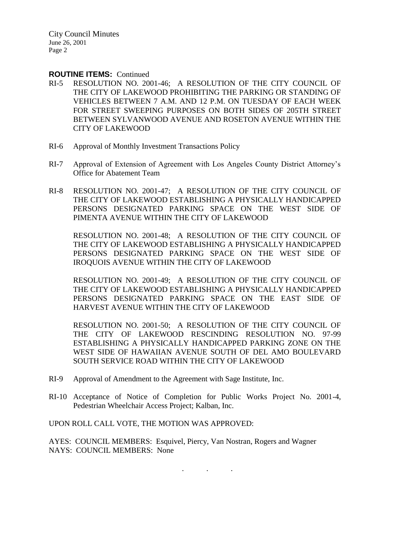### **ROUTINE ITEMS:** Continued

- RI-5 RESOLUTION NO. 2001-46; A RESOLUTION OF THE CITY COUNCIL OF THE CITY OF LAKEWOOD PROHIBITING THE PARKING OR STANDING OF VEHICLES BETWEEN 7 A.M. AND 12 P.M. ON TUESDAY OF EACH WEEK FOR STREET SWEEPING PURPOSES ON BOTH SIDES OF 205TH STREET BETWEEN SYLVANWOOD AVENUE AND ROSETON AVENUE WITHIN THE CITY OF LAKEWOOD
- RI-6 Approval of Monthly Investment Transactions Policy
- RI-7 Approval of Extension of Agreement with Los Angeles County District Attorney's Office for Abatement Team
- RI-8 RESOLUTION NO. 2001-47; A RESOLUTION OF THE CITY COUNCIL OF THE CITY OF LAKEWOOD ESTABLISHING A PHYSICALLY HANDICAPPED PERSONS DESIGNATED PARKING SPACE ON THE WEST SIDE OF PIMENTA AVENUE WITHIN THE CITY OF LAKEWOOD

RESOLUTION NO. 2001-48; A RESOLUTION OF THE CITY COUNCIL OF THE CITY OF LAKEWOOD ESTABLISHING A PHYSICALLY HANDICAPPED PERSONS DESIGNATED PARKING SPACE ON THE WEST SIDE OF IROQUOIS AVENUE WITHIN THE CITY OF LAKEWOOD

RESOLUTION NO. 2001-49; A RESOLUTION OF THE CITY COUNCIL OF THE CITY OF LAKEWOOD ESTABLISHING A PHYSICALLY HANDICAPPED PERSONS DESIGNATED PARKING SPACE ON THE EAST SIDE OF HARVEST AVENUE WITHIN THE CITY OF LAKEWOOD

RESOLUTION NO. 2001-50; A RESOLUTION OF THE CITY COUNCIL OF THE CITY OF LAKEWOOD RESCINDING RESOLUTION NO. 97-99 ESTABLISHING A PHYSICALLY HANDICAPPED PARKING ZONE ON THE WEST SIDE OF HAWAIIAN AVENUE SOUTH OF DEL AMO BOULEVARD SOUTH SERVICE ROAD WITHIN THE CITY OF LAKEWOOD

. . .

- RI-9 Approval of Amendment to the Agreement with Sage Institute, Inc.
- RI-10 Acceptance of Notice of Completion for Public Works Project No. 2001-4, Pedestrian Wheelchair Access Project; Kalban, Inc.

UPON ROLL CALL VOTE, THE MOTION WAS APPROVED:

AYES: COUNCIL MEMBERS: Esquivel, Piercy, Van Nostran, Rogers and Wagner NAYS: COUNCIL MEMBERS: None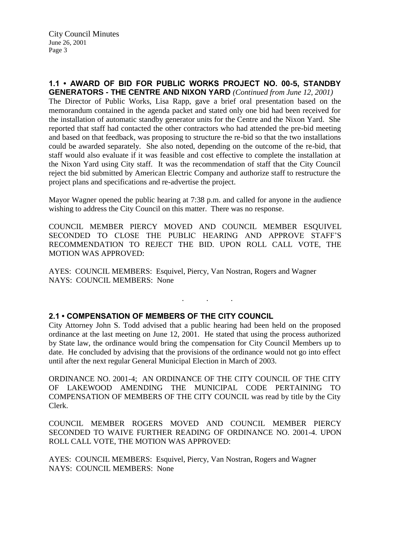## **1.1 • AWARD OF BID FOR PUBLIC WORKS PROJECT NO. 00-5, STANDBY GENERATORS - THE CENTRE AND NIXON YARD** *(Continued from June 12, 2001)*

The Director of Public Works, Lisa Rapp, gave a brief oral presentation based on the memorandum contained in the agenda packet and stated only one bid had been received for the installation of automatic standby generator units for the Centre and the Nixon Yard. She reported that staff had contacted the other contractors who had attended the pre-bid meeting and based on that feedback, was proposing to structure the re-bid so that the two installations could be awarded separately. She also noted, depending on the outcome of the re-bid, that staff would also evaluate if it was feasible and cost effective to complete the installation at the Nixon Yard using City staff. It was the recommendation of staff that the City Council reject the bid submitted by American Electric Company and authorize staff to restructure the project plans and specifications and re-advertise the project.

Mayor Wagner opened the public hearing at 7:38 p.m. and called for anyone in the audience wishing to address the City Council on this matter. There was no response.

COUNCIL MEMBER PIERCY MOVED AND COUNCIL MEMBER ESQUIVEL SECONDED TO CLOSE THE PUBLIC HEARING AND APPROVE STAFF'S RECOMMENDATION TO REJECT THE BID. UPON ROLL CALL VOTE, THE MOTION WAS APPROVED:

AYES: COUNCIL MEMBERS: Esquivel, Piercy, Van Nostran, Rogers and Wagner NAYS: COUNCIL MEMBERS: None

### **2.1 • COMPENSATION OF MEMBERS OF THE CITY COUNCIL**

City Attorney John S. Todd advised that a public hearing had been held on the proposed ordinance at the last meeting on June 12, 2001. He stated that using the process authorized by State law, the ordinance would bring the compensation for City Council Members up to date. He concluded by advising that the provisions of the ordinance would not go into effect until after the next regular General Municipal Election in March of 2003.

. . .

ORDINANCE NO. 2001-4; AN ORDINANCE OF THE CITY COUNCIL OF THE CITY OF LAKEWOOD AMENDING THE MUNICIPAL CODE PERTAINING TO COMPENSATION OF MEMBERS OF THE CITY COUNCIL was read by title by the City Clerk.

COUNCIL MEMBER ROGERS MOVED AND COUNCIL MEMBER PIERCY SECONDED TO WAIVE FURTHER READING OF ORDINANCE NO. 2001-4. UPON ROLL CALL VOTE, THE MOTION WAS APPROVED:

AYES: COUNCIL MEMBERS: Esquivel, Piercy, Van Nostran, Rogers and Wagner NAYS: COUNCIL MEMBERS: None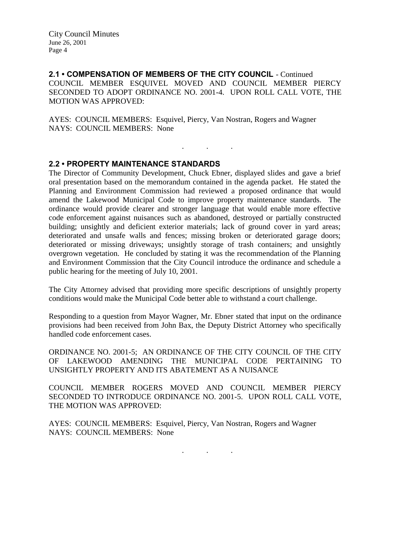**2.1 • COMPENSATION OF MEMBERS OF THE CITY COUNCIL** - Continued COUNCIL MEMBER ESQUIVEL MOVED AND COUNCIL MEMBER PIERCY SECONDED TO ADOPT ORDINANCE NO. 2001-4. UPON ROLL CALL VOTE, THE MOTION WAS APPROVED:

. . .

AYES: COUNCIL MEMBERS: Esquivel, Piercy, Van Nostran, Rogers and Wagner NAYS: COUNCIL MEMBERS: None

### **2.2 • PROPERTY MAINTENANCE STANDARDS**

The Director of Community Development, Chuck Ebner, displayed slides and gave a brief oral presentation based on the memorandum contained in the agenda packet. He stated the Planning and Environment Commission had reviewed a proposed ordinance that would amend the Lakewood Municipal Code to improve property maintenance standards. The ordinance would provide clearer and stronger language that would enable more effective code enforcement against nuisances such as abandoned, destroyed or partially constructed building; unsightly and deficient exterior materials; lack of ground cover in yard areas; deteriorated and unsafe walls and fences; missing broken or deteriorated garage doors; deteriorated or missing driveways; unsightly storage of trash containers; and unsightly overgrown vegetation. He concluded by stating it was the recommendation of the Planning and Environment Commission that the City Council introduce the ordinance and schedule a public hearing for the meeting of July 10, 2001.

The City Attorney advised that providing more specific descriptions of unsightly property conditions would make the Municipal Code better able to withstand a court challenge.

Responding to a question from Mayor Wagner, Mr. Ebner stated that input on the ordinance provisions had been received from John Bax, the Deputy District Attorney who specifically handled code enforcement cases.

ORDINANCE NO. 2001-5; AN ORDINANCE OF THE CITY COUNCIL OF THE CITY OF LAKEWOOD AMENDING THE MUNICIPAL CODE PERTAINING TO UNSIGHTLY PROPERTY AND ITS ABATEMENT AS A NUISANCE

COUNCIL MEMBER ROGERS MOVED AND COUNCIL MEMBER PIERCY SECONDED TO INTRODUCE ORDINANCE NO. 2001-5. UPON ROLL CALL VOTE, THE MOTION WAS APPROVED:

AYES: COUNCIL MEMBERS: Esquivel, Piercy, Van Nostran, Rogers and Wagner NAYS: COUNCIL MEMBERS: None

. . .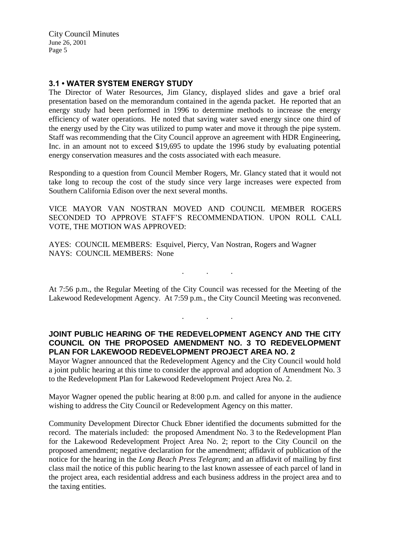# **3.1 • WATER SYSTEM ENERGY STUDY**

The Director of Water Resources, Jim Glancy, displayed slides and gave a brief oral presentation based on the memorandum contained in the agenda packet. He reported that an energy study had been performed in 1996 to determine methods to increase the energy efficiency of water operations. He noted that saving water saved energy since one third of the energy used by the City was utilized to pump water and move it through the pipe system. Staff was recommending that the City Council approve an agreement with HDR Engineering, Inc. in an amount not to exceed \$19,695 to update the 1996 study by evaluating potential energy conservation measures and the costs associated with each measure.

Responding to a question from Council Member Rogers, Mr. Glancy stated that it would not take long to recoup the cost of the study since very large increases were expected from Southern California Edison over the next several months.

VICE MAYOR VAN NOSTRAN MOVED AND COUNCIL MEMBER ROGERS SECONDED TO APPROVE STAFF'S RECOMMENDATION. UPON ROLL CALL VOTE, THE MOTION WAS APPROVED:

AYES: COUNCIL MEMBERS: Esquivel, Piercy, Van Nostran, Rogers and Wagner NAYS: COUNCIL MEMBERS: None

At 7:56 p.m., the Regular Meeting of the City Council was recessed for the Meeting of the Lakewood Redevelopment Agency. At 7:59 p.m., the City Council Meeting was reconvened.

. . .

. . .

# **JOINT PUBLIC HEARING OF THE REDEVELOPMENT AGENCY AND THE CITY COUNCIL ON THE PROPOSED AMENDMENT NO. 3 TO REDEVELOPMENT PLAN FOR LAKEWOOD REDEVELOPMENT PROJECT AREA NO. 2**

Mayor Wagner announced that the Redevelopment Agency and the City Council would hold a joint public hearing at this time to consider the approval and adoption of Amendment No. 3 to the Redevelopment Plan for Lakewood Redevelopment Project Area No. 2.

Mayor Wagner opened the public hearing at 8:00 p.m. and called for anyone in the audience wishing to address the City Council or Redevelopment Agency on this matter.

Community Development Director Chuck Ebner identified the documents submitted for the record. The materials included: the proposed Amendment No. 3 to the Redevelopment Plan for the Lakewood Redevelopment Project Area No. 2; report to the City Council on the proposed amendment; negative declaration for the amendment; affidavit of publication of the notice for the hearing in the *Long Beach Press Telegram*; and an affidavit of mailing by first class mail the notice of this public hearing to the last known assessee of each parcel of land in the project area, each residential address and each business address in the project area and to the taxing entities.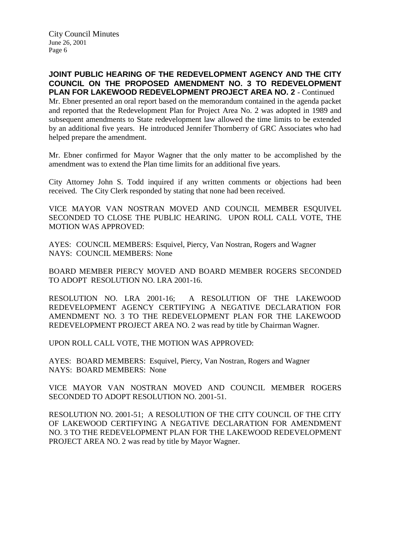# **JOINT PUBLIC HEARING OF THE REDEVELOPMENT AGENCY AND THE CITY COUNCIL ON THE PROPOSED AMENDMENT NO. 3 TO REDEVELOPMENT PLAN FOR LAKEWOOD REDEVELOPMENT PROJECT AREA NO. 2** - Continued

Mr. Ebner presented an oral report based on the memorandum contained in the agenda packet and reported that the Redevelopment Plan for Project Area No. 2 was adopted in 1989 and subsequent amendments to State redevelopment law allowed the time limits to be extended by an additional five years. He introduced Jennifer Thornberry of GRC Associates who had helped prepare the amendment.

Mr. Ebner confirmed for Mayor Wagner that the only matter to be accomplished by the amendment was to extend the Plan time limits for an additional five years.

City Attorney John S. Todd inquired if any written comments or objections had been received. The City Clerk responded by stating that none had been received.

VICE MAYOR VAN NOSTRAN MOVED AND COUNCIL MEMBER ESQUIVEL SECONDED TO CLOSE THE PUBLIC HEARING. UPON ROLL CALL VOTE, THE MOTION WAS APPROVED:

AYES: COUNCIL MEMBERS: Esquivel, Piercy, Van Nostran, Rogers and Wagner NAYS: COUNCIL MEMBERS: None

BOARD MEMBER PIERCY MOVED AND BOARD MEMBER ROGERS SECONDED TO ADOPT RESOLUTION NO. LRA 2001-16.

RESOLUTION NO. LRA 2001-16; A RESOLUTION OF THE LAKEWOOD REDEVELOPMENT AGENCY CERTIFYING A NEGATIVE DECLARATION FOR AMENDMENT NO. 3 TO THE REDEVELOPMENT PLAN FOR THE LAKEWOOD REDEVELOPMENT PROJECT AREA NO. 2 was read by title by Chairman Wagner.

UPON ROLL CALL VOTE, THE MOTION WAS APPROVED:

AYES: BOARD MEMBERS: Esquivel, Piercy, Van Nostran, Rogers and Wagner NAYS: BOARD MEMBERS: None

VICE MAYOR VAN NOSTRAN MOVED AND COUNCIL MEMBER ROGERS SECONDED TO ADOPT RESOLUTION NO. 2001-51.

RESOLUTION NO. 2001-51; A RESOLUTION OF THE CITY COUNCIL OF THE CITY OF LAKEWOOD CERTIFYING A NEGATIVE DECLARATION FOR AMENDMENT NO. 3 TO THE REDEVELOPMENT PLAN FOR THE LAKEWOOD REDEVELOPMENT PROJECT AREA NO. 2 was read by title by Mayor Wagner.